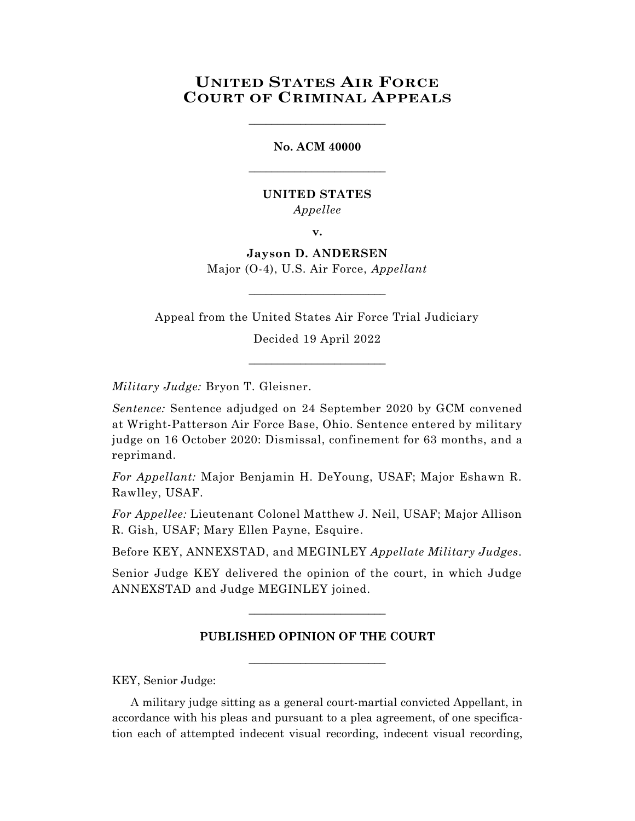# **UNITED STATES AIR FORCE COURT OF CRIMINAL APPEALS**

\_\_\_\_\_\_\_\_\_\_\_\_\_\_\_\_\_\_\_\_\_\_\_\_

**No. ACM 40000** \_\_\_\_\_\_\_\_\_\_\_\_\_\_\_\_\_\_\_\_\_\_\_\_

### **UNITED STATES** *Appellee*

**v.**

**Jayson D. ANDERSEN** Major (O-4), U.S. Air Force, *Appellant*

 $\_$ 

Appeal from the United States Air Force Trial Judiciary

Decided 19 April 2022

\_\_\_\_\_\_\_\_\_\_\_\_\_\_\_\_\_\_\_\_\_\_\_\_

*Military Judge:* Bryon T. Gleisner.

*Sentence:* Sentence adjudged on 24 September 2020 by GCM convened at Wright-Patterson Air Force Base, Ohio. Sentence entered by military judge on 16 October 2020: Dismissal, confinement for 63 months, and a reprimand.

*For Appellant:* Major Benjamin H. DeYoung, USAF; Major Eshawn R. Rawlley, USAF.

*For Appellee:* Lieutenant Colonel Matthew J. Neil, USAF; Major Allison R. Gish, USAF; Mary Ellen Payne, Esquire.

Before KEY, ANNEXSTAD, and MEGINLEY *Appellate Military Judges.*

Senior Judge KEY delivered the opinion of the court, in which Judge ANNEXSTAD and Judge MEGINLEY joined.

### **PUBLISHED OPINION OF THE COURT**

**\_\_\_\_\_\_\_\_\_\_\_\_\_\_\_\_\_\_\_\_\_\_\_\_**

 $\_$ 

KEY, Senior Judge:

A military judge sitting as a general court-martial convicted Appellant, in accordance with his pleas and pursuant to a plea agreement, of one specification each of attempted indecent visual recording, indecent visual recording,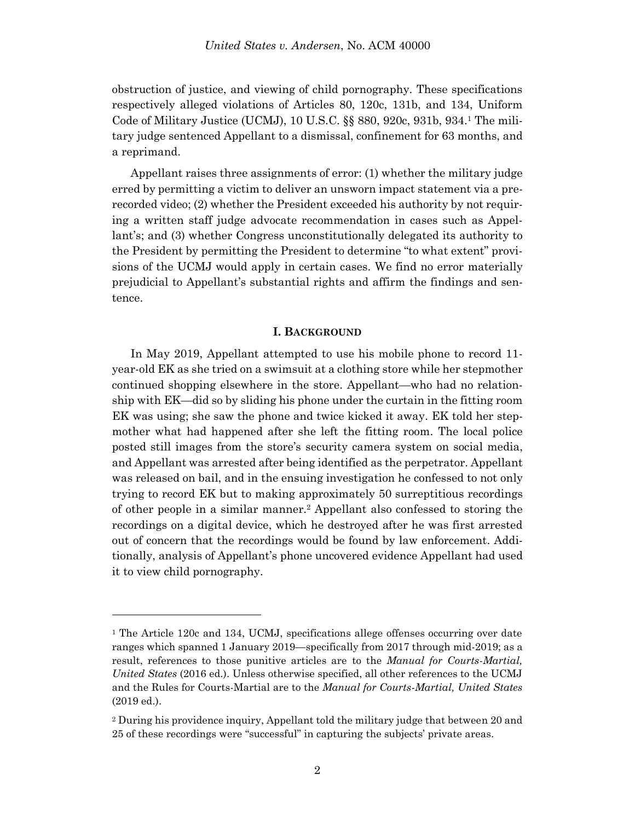obstruction of justice, and viewing of child pornography. These specifications respectively alleged violations of Articles 80, 120c, 131b, and 134, Uniform Code of Military Justice (UCMJ), 10 U.S.C. §§ 880, 920c, 931b, 934.<sup>1</sup> The military judge sentenced Appellant to a dismissal, confinement for 63 months, and a reprimand.

Appellant raises three assignments of error: (1) whether the military judge erred by permitting a victim to deliver an unsworn impact statement via a prerecorded video; (2) whether the President exceeded his authority by not requiring a written staff judge advocate recommendation in cases such as Appellant's; and (3) whether Congress unconstitutionally delegated its authority to the President by permitting the President to determine "to what extent" provisions of the UCMJ would apply in certain cases. We find no error materially prejudicial to Appellant's substantial rights and affirm the findings and sentence.

#### **I. BACKGROUND**

In May 2019, Appellant attempted to use his mobile phone to record 11 year-old EK as she tried on a swimsuit at a clothing store while her stepmother continued shopping elsewhere in the store. Appellant—who had no relationship with EK—did so by sliding his phone under the curtain in the fitting room EK was using; she saw the phone and twice kicked it away. EK told her stepmother what had happened after she left the fitting room. The local police posted still images from the store's security camera system on social media, and Appellant was arrested after being identified as the perpetrator. Appellant was released on bail, and in the ensuing investigation he confessed to not only trying to record EK but to making approximately 50 surreptitious recordings of other people in a similar manner.<sup>2</sup> Appellant also confessed to storing the recordings on a digital device, which he destroyed after he was first arrested out of concern that the recordings would be found by law enforcement. Additionally, analysis of Appellant's phone uncovered evidence Appellant had used it to view child pornography.

<sup>&</sup>lt;sup>1</sup> The Article 120c and 134, UCMJ, specifications allege offenses occurring over date ranges which spanned 1 January 2019—specifically from 2017 through mid-2019; as a result, references to those punitive articles are to the *Manual for Courts-Martial, United States* (2016 ed.). Unless otherwise specified, all other references to the UCMJ and the Rules for Courts-Martial are to the *Manual for Courts-Martial, United States* (2019 ed.).

<sup>2</sup> During his providence inquiry, Appellant told the military judge that between 20 and 25 of these recordings were "successful" in capturing the subjects' private areas.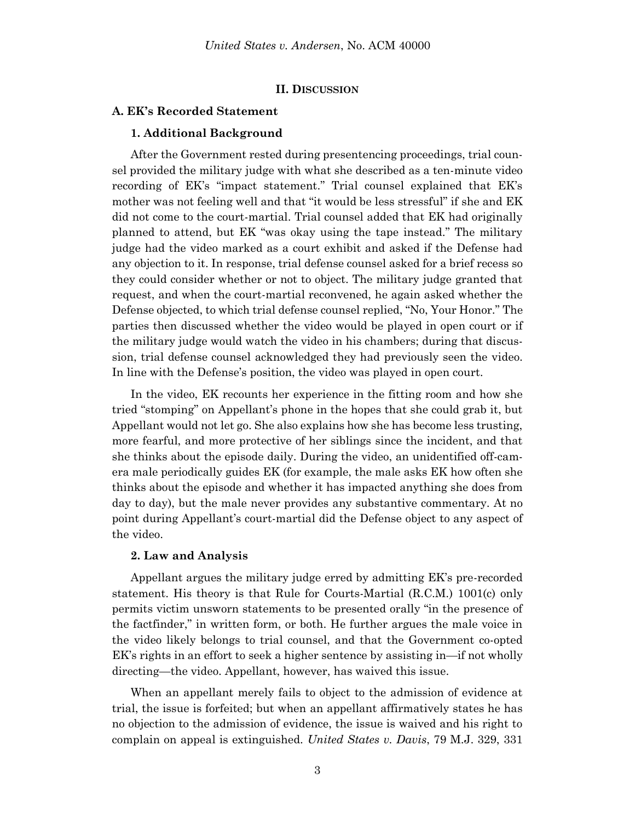#### **II. DISCUSSION**

#### **A. EK's Recorded Statement**

#### **1. Additional Background**

After the Government rested during presentencing proceedings, trial counsel provided the military judge with what she described as a ten-minute video recording of EK's "impact statement." Trial counsel explained that EK's mother was not feeling well and that "it would be less stressful" if she and EK did not come to the court-martial. Trial counsel added that EK had originally planned to attend, but EK "was okay using the tape instead." The military judge had the video marked as a court exhibit and asked if the Defense had any objection to it. In response, trial defense counsel asked for a brief recess so they could consider whether or not to object. The military judge granted that request, and when the court-martial reconvened, he again asked whether the Defense objected, to which trial defense counsel replied, "No, Your Honor." The parties then discussed whether the video would be played in open court or if the military judge would watch the video in his chambers; during that discussion, trial defense counsel acknowledged they had previously seen the video. In line with the Defense's position, the video was played in open court.

In the video, EK recounts her experience in the fitting room and how she tried "stomping" on Appellant's phone in the hopes that she could grab it, but Appellant would not let go. She also explains how she has become less trusting, more fearful, and more protective of her siblings since the incident, and that she thinks about the episode daily. During the video, an unidentified off-camera male periodically guides EK (for example, the male asks EK how often she thinks about the episode and whether it has impacted anything she does from day to day), but the male never provides any substantive commentary. At no point during Appellant's court-martial did the Defense object to any aspect of the video.

#### **2. Law and Analysis**

Appellant argues the military judge erred by admitting EK's pre-recorded statement. His theory is that Rule for Courts-Martial (R.C.M.) 1001(c) only permits victim unsworn statements to be presented orally "in the presence of the factfinder," in written form, or both. He further argues the male voice in the video likely belongs to trial counsel, and that the Government co-opted EK's rights in an effort to seek a higher sentence by assisting in—if not wholly directing—the video. Appellant, however, has waived this issue.

When an appellant merely fails to object to the admission of evidence at trial, the issue is forfeited; but when an appellant affirmatively states he has no objection to the admission of evidence, the issue is waived and his right to complain on appeal is extinguished. *United States v. Davis*, 79 M.J. 329, 331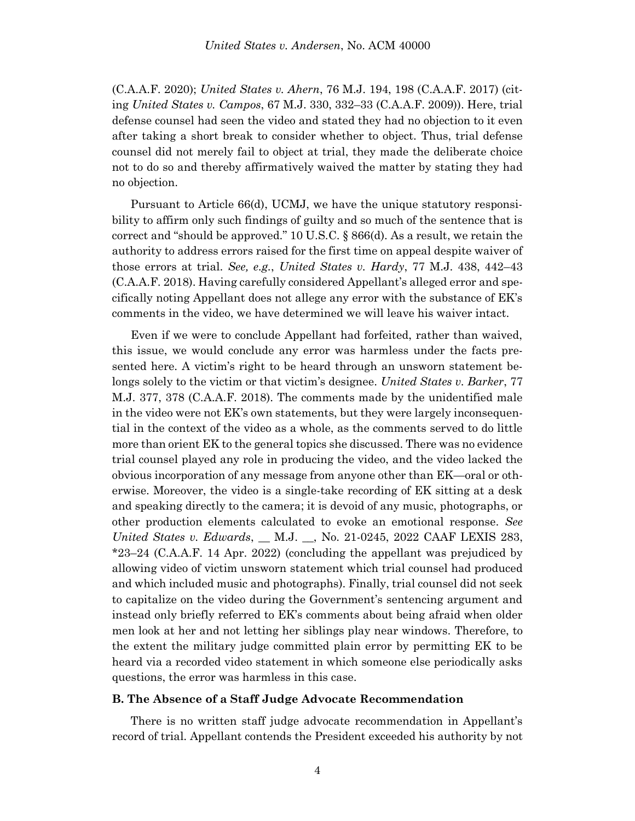(C.A.A.F. 2020); *United States v. Ahern*, 76 M.J. 194, 198 (C.A.A.F. 2017) (citing *United States v. Campos*, 67 M.J. 330, 332–33 (C.A.A.F. 2009)). Here, trial defense counsel had seen the video and stated they had no objection to it even after taking a short break to consider whether to object. Thus, trial defense counsel did not merely fail to object at trial, they made the deliberate choice not to do so and thereby affirmatively waived the matter by stating they had no objection.

Pursuant to Article 66(d), UCMJ, we have the unique statutory responsibility to affirm only such findings of guilty and so much of the sentence that is correct and "should be approved." 10 U.S.C. § 866(d). As a result, we retain the authority to address errors raised for the first time on appeal despite waiver of those errors at trial. *See, e.g.*, *United States v. Hardy*, 77 M.J. 438, 442–43 (C.A.A.F. 2018). Having carefully considered Appellant's alleged error and specifically noting Appellant does not allege any error with the substance of EK's comments in the video, we have determined we will leave his waiver intact.

Even if we were to conclude Appellant had forfeited, rather than waived, this issue, we would conclude any error was harmless under the facts presented here. A victim's right to be heard through an unsworn statement belongs solely to the victim or that victim's designee. *United States v. Barker*, 77 M.J. 377, 378 (C.A.A.F. 2018). The comments made by the unidentified male in the video were not EK's own statements, but they were largely inconsequential in the context of the video as a whole, as the comments served to do little more than orient EK to the general topics she discussed. There was no evidence trial counsel played any role in producing the video, and the video lacked the obvious incorporation of any message from anyone other than EK—oral or otherwise. Moreover, the video is a single-take recording of EK sitting at a desk and speaking directly to the camera; it is devoid of any music, photographs, or other production elements calculated to evoke an emotional response. *See United States v. Edwards*, \_\_ M.J. \_\_, No. 21-0245, 2022 CAAF LEXIS 283, \*23–24 (C.A.A.F. 14 Apr. 2022) (concluding the appellant was prejudiced by allowing video of victim unsworn statement which trial counsel had produced and which included music and photographs). Finally, trial counsel did not seek to capitalize on the video during the Government's sentencing argument and instead only briefly referred to EK's comments about being afraid when older men look at her and not letting her siblings play near windows. Therefore, to the extent the military judge committed plain error by permitting EK to be heard via a recorded video statement in which someone else periodically asks questions, the error was harmless in this case.

#### **B. The Absence of a Staff Judge Advocate Recommendation**

There is no written staff judge advocate recommendation in Appellant's record of trial. Appellant contends the President exceeded his authority by not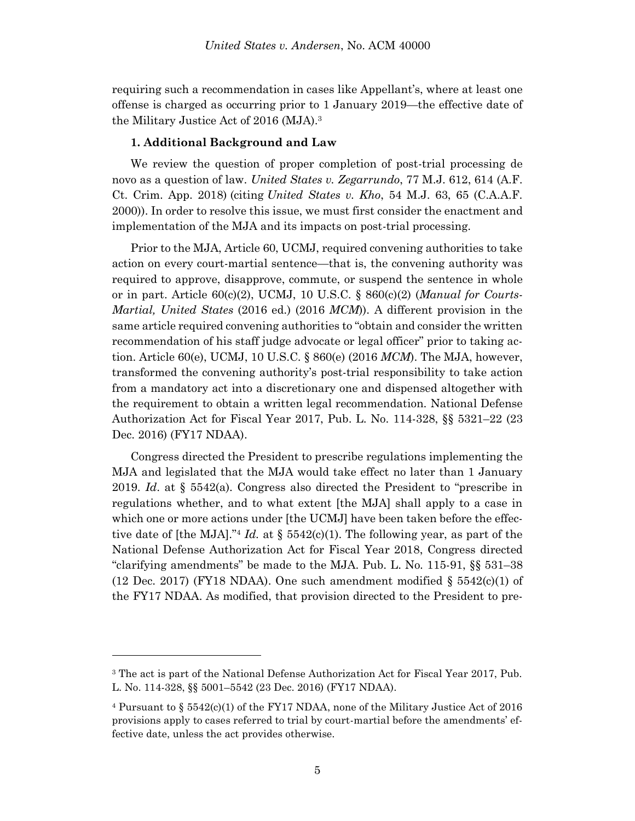requiring such a recommendation in cases like Appellant's, where at least one offense is charged as occurring prior to 1 January 2019—the effective date of the Military Justice Act of 2016 (MJA). 3

#### **1. Additional Background and Law**

We review the question of proper completion of post-trial processing de novo as a question of law. *United States v. Zegarrundo*, 77 M.J. 612, 614 (A.F. Ct. Crim. App. 2018) (citing *United States v. Kho*, 54 M.J. 63, 65 (C.A.A.F. 2000)). In order to resolve this issue, we must first consider the enactment and implementation of the MJA and its impacts on post-trial processing.

Prior to the MJA, Article 60, UCMJ, required convening authorities to take action on every court-martial sentence—that is, the convening authority was required to approve, disapprove, commute, or suspend the sentence in whole or in part. Article 60(c)(2), UCMJ, 10 U.S.C. § 860(c)(2) (*Manual for Courts-Martial, United States* (2016 ed.) (2016 *MCM*)). A different provision in the same article required convening authorities to "obtain and consider the written recommendation of his staff judge advocate or legal officer" prior to taking action. Article 60(e), UCMJ, 10 U.S.C. § 860(e) (2016 *MCM*). The MJA, however, transformed the convening authority's post-trial responsibility to take action from a mandatory act into a discretionary one and dispensed altogether with the requirement to obtain a written legal recommendation. National Defense Authorization Act for Fiscal Year 2017, Pub. L. No. 114-328, §§ 5321–22 (23 Dec. 2016) (FY17 NDAA).

Congress directed the President to prescribe regulations implementing the MJA and legislated that the MJA would take effect no later than 1 January 2019. *Id*. at § 5542(a). Congress also directed the President to "prescribe in regulations whether, and to what extent [the MJA] shall apply to a case in which one or more actions under [the UCMJ] have been taken before the effective date of [the MJA].<sup>"4</sup> *Id.* at § 5542(c)(1). The following year, as part of the National Defense Authorization Act for Fiscal Year 2018, Congress directed "clarifying amendments" be made to the MJA. Pub. L. No. 115-91, §§ 531–38 (12 Dec. 2017) (FY18 NDAA). One such amendment modified  $\S$  5542(c)(1) of the FY17 NDAA. As modified, that provision directed to the President to pre-

<sup>&</sup>lt;sup>3</sup> The act is part of the National Defense Authorization Act for Fiscal Year 2017, Pub. L. No. 114-328, §§ 5001–5542 (23 Dec. 2016) (FY17 NDAA).

<sup>&</sup>lt;sup>4</sup> Pursuant to §  $5542(c)(1)$  of the FY17 NDAA, none of the Military Justice Act of 2016 provisions apply to cases referred to trial by court-martial before the amendments' effective date, unless the act provides otherwise.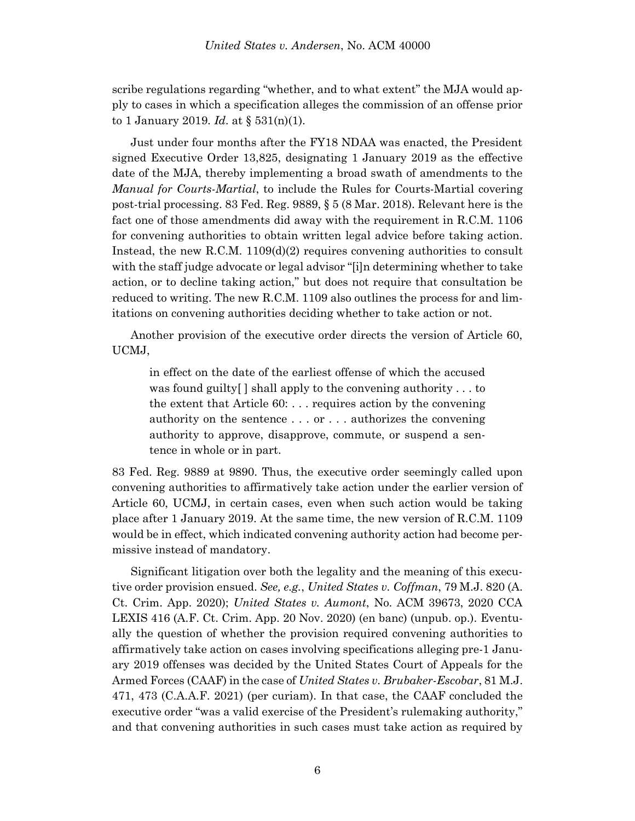scribe regulations regarding "whether, and to what extent" the MJA would apply to cases in which a specification alleges the commission of an offense prior to 1 January 2019. *Id*. at § 531(n)(1).

Just under four months after the FY18 NDAA was enacted, the President signed Executive Order 13,825, designating 1 January 2019 as the effective date of the MJA, thereby implementing a broad swath of amendments to the *Manual for Courts-Martial*, to include the Rules for Courts-Martial covering post-trial processing. 83 Fed. Reg. 9889, § 5 (8 Mar. 2018). Relevant here is the fact one of those amendments did away with the requirement in R.C.M. 1106 for convening authorities to obtain written legal advice before taking action. Instead, the new R.C.M.  $1109(d)(2)$  requires convening authorities to consult with the staff judge advocate or legal advisor "[i]n determining whether to take action, or to decline taking action," but does not require that consultation be reduced to writing. The new R.C.M. 1109 also outlines the process for and limitations on convening authorities deciding whether to take action or not.

Another provision of the executive order directs the version of Article 60, UCMJ,

in effect on the date of the earliest offense of which the accused was found guilty[ ] shall apply to the convening authority . . . to the extent that Article 60: . . . requires action by the convening authority on the sentence . . . or . . . authorizes the convening authority to approve, disapprove, commute, or suspend a sentence in whole or in part.

83 Fed. Reg. 9889 at 9890. Thus, the executive order seemingly called upon convening authorities to affirmatively take action under the earlier version of Article 60, UCMJ, in certain cases, even when such action would be taking place after 1 January 2019. At the same time, the new version of R.C.M. 1109 would be in effect, which indicated convening authority action had become permissive instead of mandatory.

Significant litigation over both the legality and the meaning of this executive order provision ensued. *See, e.g.*, *United States v. Coffman*, 79 M.J. 820 (A. Ct. Crim. App. 2020); *United States v. Aumont*, No. ACM 39673, 2020 CCA LEXIS 416 (A.F. Ct. Crim. App. 20 Nov. 2020) (en banc) (unpub. op.). Eventually the question of whether the provision required convening authorities to affirmatively take action on cases involving specifications alleging pre-1 January 2019 offenses was decided by the United States Court of Appeals for the Armed Forces (CAAF) in the case of *United States v. Brubaker-Escobar*, 81 M.J. 471, 473 (C.A.A.F. 2021) (per curiam). In that case, the CAAF concluded the executive order "was a valid exercise of the President's rulemaking authority," and that convening authorities in such cases must take action as required by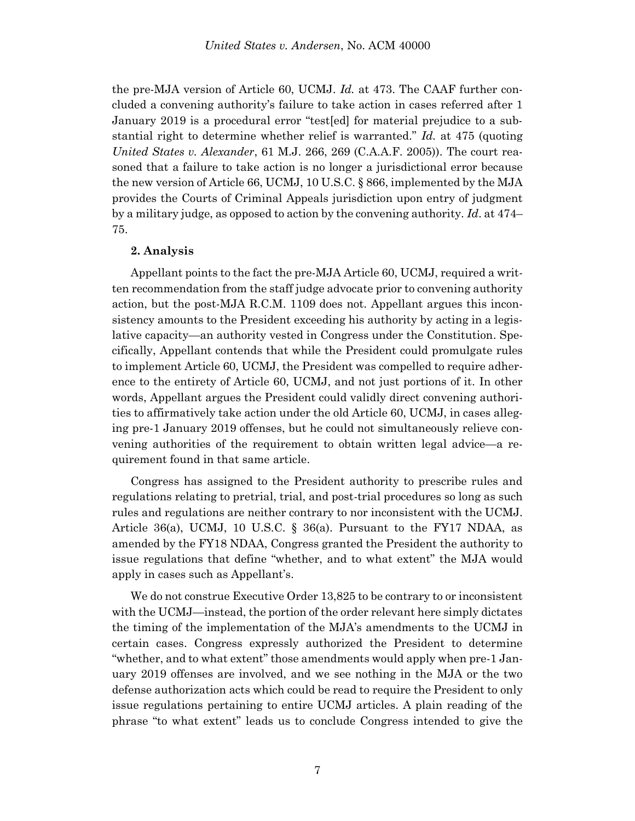the pre-MJA version of Article 60, UCMJ. *Id.* at 473. The CAAF further concluded a convening authority's failure to take action in cases referred after 1 January 2019 is a procedural error "test[ed] for material prejudice to a substantial right to determine whether relief is warranted." *Id.* at 475 (quoting *United States v. Alexander*, 61 M.J. 266, 269 (C.A.A.F. 2005)). The court reasoned that a failure to take action is no longer a jurisdictional error because the new version of Article 66, UCMJ, 10 U.S.C. § 866, implemented by the MJA provides the Courts of Criminal Appeals jurisdiction upon entry of judgment by a military judge, as opposed to action by the convening authority. *Id*. at 474– 75.

#### **2. Analysis**

Appellant points to the fact the pre-MJA Article 60, UCMJ, required a written recommendation from the staff judge advocate prior to convening authority action, but the post-MJA R.C.M. 1109 does not. Appellant argues this inconsistency amounts to the President exceeding his authority by acting in a legislative capacity—an authority vested in Congress under the Constitution. Specifically, Appellant contends that while the President could promulgate rules to implement Article 60, UCMJ, the President was compelled to require adherence to the entirety of Article 60, UCMJ, and not just portions of it. In other words, Appellant argues the President could validly direct convening authorities to affirmatively take action under the old Article 60, UCMJ, in cases alleging pre-1 January 2019 offenses, but he could not simultaneously relieve convening authorities of the requirement to obtain written legal advice—a requirement found in that same article.

Congress has assigned to the President authority to prescribe rules and regulations relating to pretrial, trial, and post-trial procedures so long as such rules and regulations are neither contrary to nor inconsistent with the UCMJ. Article 36(a), UCMJ, 10 U.S.C. § 36(a). Pursuant to the FY17 NDAA, as amended by the FY18 NDAA, Congress granted the President the authority to issue regulations that define "whether, and to what extent" the MJA would apply in cases such as Appellant's.

We do not construe Executive Order 13,825 to be contrary to or inconsistent with the UCMJ—instead, the portion of the order relevant here simply dictates the timing of the implementation of the MJA's amendments to the UCMJ in certain cases. Congress expressly authorized the President to determine "whether, and to what extent" those amendments would apply when pre-1 January 2019 offenses are involved, and we see nothing in the MJA or the two defense authorization acts which could be read to require the President to only issue regulations pertaining to entire UCMJ articles. A plain reading of the phrase "to what extent" leads us to conclude Congress intended to give the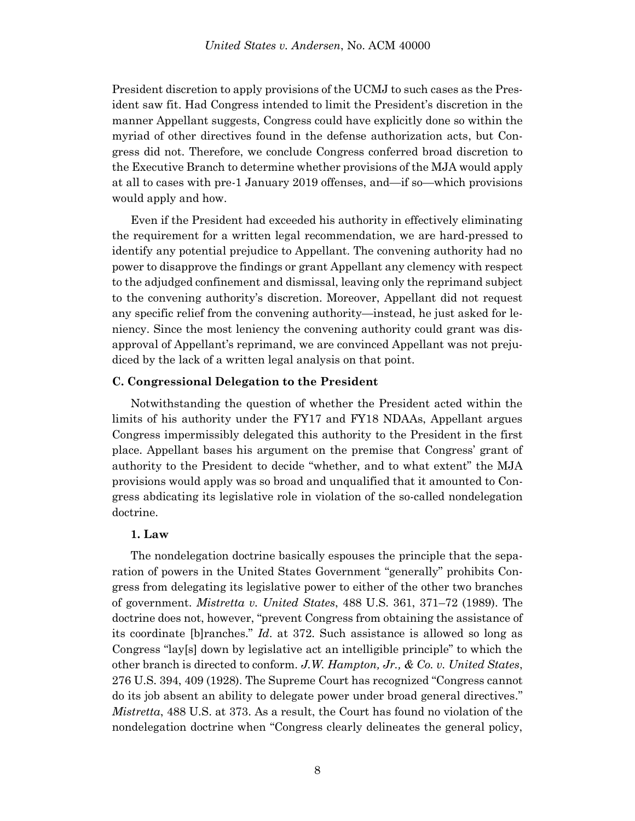President discretion to apply provisions of the UCMJ to such cases as the President saw fit. Had Congress intended to limit the President's discretion in the manner Appellant suggests, Congress could have explicitly done so within the myriad of other directives found in the defense authorization acts, but Congress did not. Therefore, we conclude Congress conferred broad discretion to the Executive Branch to determine whether provisions of the MJA would apply at all to cases with pre-1 January 2019 offenses, and—if so—which provisions would apply and how.

Even if the President had exceeded his authority in effectively eliminating the requirement for a written legal recommendation, we are hard-pressed to identify any potential prejudice to Appellant. The convening authority had no power to disapprove the findings or grant Appellant any clemency with respect to the adjudged confinement and dismissal, leaving only the reprimand subject to the convening authority's discretion. Moreover, Appellant did not request any specific relief from the convening authority—instead, he just asked for leniency. Since the most leniency the convening authority could grant was disapproval of Appellant's reprimand, we are convinced Appellant was not prejudiced by the lack of a written legal analysis on that point.

### **C. Congressional Delegation to the President**

Notwithstanding the question of whether the President acted within the limits of his authority under the FY17 and FY18 NDAAs, Appellant argues Congress impermissibly delegated this authority to the President in the first place. Appellant bases his argument on the premise that Congress' grant of authority to the President to decide "whether, and to what extent" the MJA provisions would apply was so broad and unqualified that it amounted to Congress abdicating its legislative role in violation of the so-called nondelegation doctrine.

#### **1. Law**

The nondelegation doctrine basically espouses the principle that the separation of powers in the United States Government "generally" prohibits Congress from delegating its legislative power to either of the other two branches of government. *Mistretta v. United States*, 488 U.S. 361, 371–72 (1989). The doctrine does not, however, "prevent Congress from obtaining the assistance of its coordinate [b]ranches." *Id*. at 372. Such assistance is allowed so long as Congress "lay[s] down by legislative act an intelligible principle" to which the other branch is directed to conform. *J.W. Hampton, Jr., & Co. v. United States*, 276 U.S. 394, 409 (1928). The Supreme Court has recognized "Congress cannot do its job absent an ability to delegate power under broad general directives." *Mistretta*, 488 U.S. at 373. As a result, the Court has found no violation of the nondelegation doctrine when "Congress clearly delineates the general policy,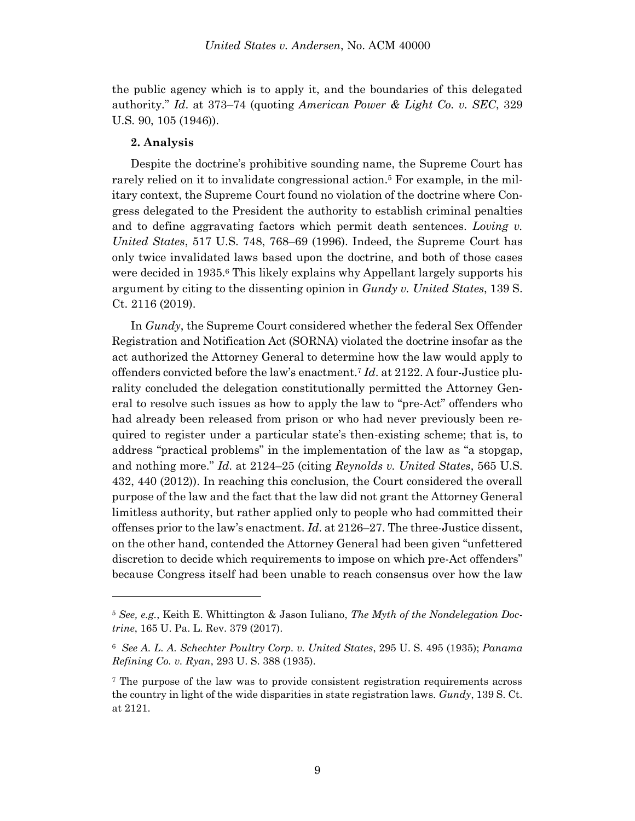the public agency which is to apply it, and the boundaries of this delegated authority." *Id*. at 373–74 (quoting *American Power & Light Co. v. SEC*, 329 U.S. 90, 105 (1946)).

### **2. Analysis**

l

Despite the doctrine's prohibitive sounding name, the Supreme Court has rarely relied on it to invalidate congressional action. <sup>5</sup> For example, in the military context, the Supreme Court found no violation of the doctrine where Congress delegated to the President the authority to establish criminal penalties and to define aggravating factors which permit death sentences. *Loving v. United States*, 517 U.S. 748, 768–69 (1996). Indeed, the Supreme Court has only twice invalidated laws based upon the doctrine, and both of those cases were decided in 1935.<sup>6</sup> This likely explains why Appellant largely supports his argument by citing to the dissenting opinion in *Gundy v. United States*, 139 S. Ct. 2116 (2019).

In *Gundy*, the Supreme Court considered whether the federal Sex Offender Registration and Notification Act (SORNA) violated the doctrine insofar as the act authorized the Attorney General to determine how the law would apply to offenders convicted before the law's enactment. <sup>7</sup> *Id*. at 2122. A four-Justice plurality concluded the delegation constitutionally permitted the Attorney General to resolve such issues as how to apply the law to "pre-Act" offenders who had already been released from prison or who had never previously been required to register under a particular state's then-existing scheme; that is, to address "practical problems" in the implementation of the law as "a stopgap, and nothing more." *Id*. at 2124–25 (citing *Reynolds v. United States*, 565 U.S. 432, 440 (2012)). In reaching this conclusion, the Court considered the overall purpose of the law and the fact that the law did not grant the Attorney General limitless authority, but rather applied only to people who had committed their offenses prior to the law's enactment. *Id*. at 2126–27. The three-Justice dissent, on the other hand, contended the Attorney General had been given "unfettered discretion to decide which requirements to impose on which pre-Act offenders" because Congress itself had been unable to reach consensus over how the law

<sup>5</sup> *See, e.g.*, Keith E. Whittington & Jason Iuliano, *The Myth of the Nondelegation Doctrine*, 165 U. Pa. L. Rev. 379 (2017).

<sup>6</sup> *See A. L. A. Schechter Poultry Corp. v. United States*, 295 U. S. 495 (1935); *Panama Refining Co. v. Ryan*, 293 U. S. 388 (1935).

<sup>7</sup> The purpose of the law was to provide consistent registration requirements across the country in light of the wide disparities in state registration laws. *Gundy*, 139 S. Ct. at 2121.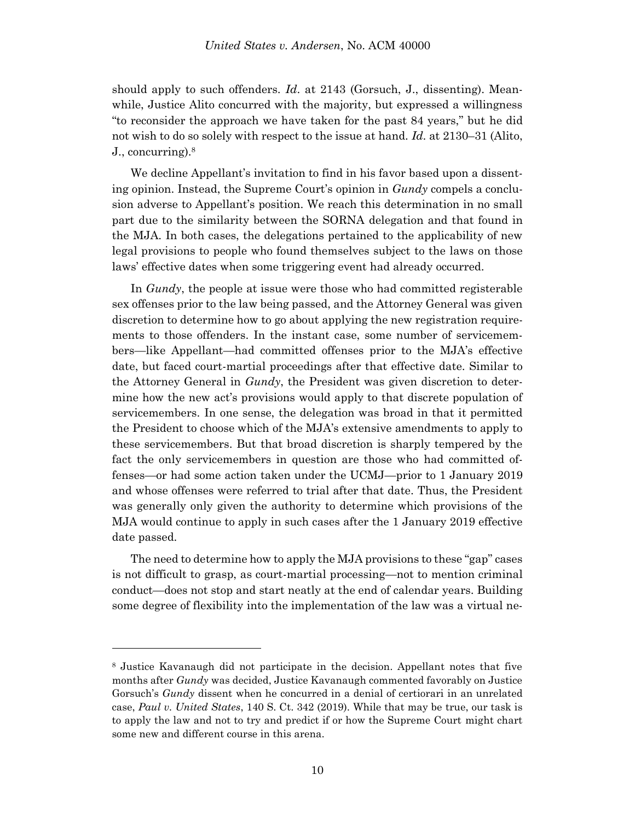should apply to such offenders. *Id*. at 2143 (Gorsuch, J., dissenting). Meanwhile, Justice Alito concurred with the majority, but expressed a willingness "to reconsider the approach we have taken for the past 84 years," but he did not wish to do so solely with respect to the issue at hand. *Id*. at 2130–31 (Alito, J., concurring). 8

We decline Appellant's invitation to find in his favor based upon a dissenting opinion. Instead, the Supreme Court's opinion in *Gundy* compels a conclusion adverse to Appellant's position. We reach this determination in no small part due to the similarity between the SORNA delegation and that found in the MJA. In both cases, the delegations pertained to the applicability of new legal provisions to people who found themselves subject to the laws on those laws' effective dates when some triggering event had already occurred.

In *Gundy*, the people at issue were those who had committed registerable sex offenses prior to the law being passed, and the Attorney General was given discretion to determine how to go about applying the new registration requirements to those offenders. In the instant case, some number of servicemembers—like Appellant—had committed offenses prior to the MJA's effective date, but faced court-martial proceedings after that effective date. Similar to the Attorney General in *Gundy*, the President was given discretion to determine how the new act's provisions would apply to that discrete population of servicemembers. In one sense, the delegation was broad in that it permitted the President to choose which of the MJA's extensive amendments to apply to these servicemembers. But that broad discretion is sharply tempered by the fact the only servicemembers in question are those who had committed offenses—or had some action taken under the UCMJ—prior to 1 January 2019 and whose offenses were referred to trial after that date. Thus, the President was generally only given the authority to determine which provisions of the MJA would continue to apply in such cases after the 1 January 2019 effective date passed.

The need to determine how to apply the MJA provisions to these "gap" cases is not difficult to grasp, as court-martial processing—not to mention criminal conduct—does not stop and start neatly at the end of calendar years. Building some degree of flexibility into the implementation of the law was a virtual ne-

<sup>8</sup> Justice Kavanaugh did not participate in the decision. Appellant notes that five months after *Gundy* was decided, Justice Kavanaugh commented favorably on Justice Gorsuch's *Gundy* dissent when he concurred in a denial of certiorari in an unrelated case, *Paul v. United States*, 140 S. Ct. 342 (2019). While that may be true, our task is to apply the law and not to try and predict if or how the Supreme Court might chart some new and different course in this arena.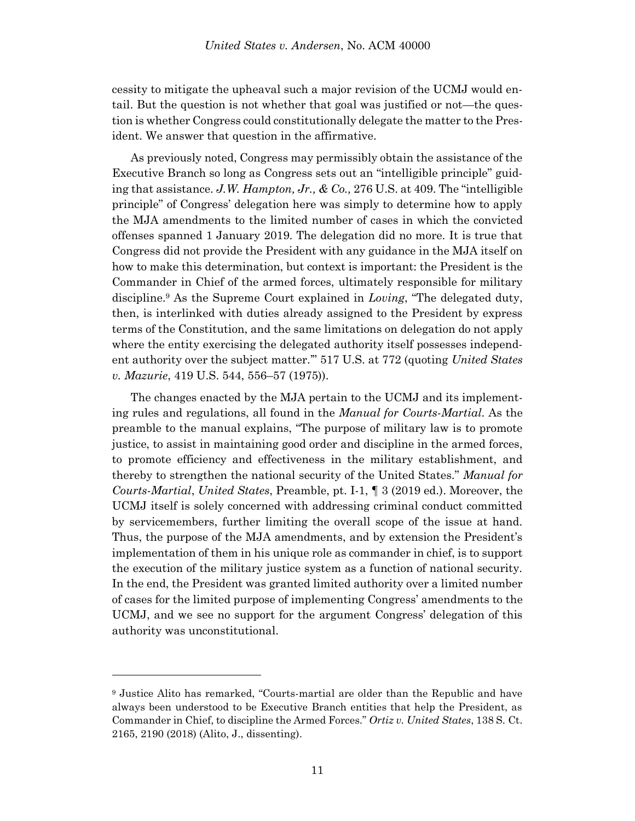cessity to mitigate the upheaval such a major revision of the UCMJ would entail. But the question is not whether that goal was justified or not—the question is whether Congress could constitutionally delegate the matter to the President. We answer that question in the affirmative.

As previously noted, Congress may permissibly obtain the assistance of the Executive Branch so long as Congress sets out an "intelligible principle" guiding that assistance. *J.W. Hampton, Jr., & Co.,* 276 U.S. at 409. The "intelligible principle" of Congress' delegation here was simply to determine how to apply the MJA amendments to the limited number of cases in which the convicted offenses spanned 1 January 2019. The delegation did no more. It is true that Congress did not provide the President with any guidance in the MJA itself on how to make this determination, but context is important: the President is the Commander in Chief of the armed forces, ultimately responsible for military discipline.<sup>9</sup> As the Supreme Court explained in *Loving*, "The delegated duty, then, is interlinked with duties already assigned to the President by express terms of the Constitution, and the same limitations on delegation do not apply where the entity exercising the delegated authority itself possesses independent authority over the subject matter.'" 517 U.S. at 772 (quoting *United States v. Mazurie*, 419 U.S. 544, 556–57 (1975)).

The changes enacted by the MJA pertain to the UCMJ and its implementing rules and regulations, all found in the *Manual for Courts-Martial*. As the preamble to the manual explains, "The purpose of military law is to promote justice, to assist in maintaining good order and discipline in the armed forces, to promote efficiency and effectiveness in the military establishment, and thereby to strengthen the national security of the United States." *Manual for Courts-Martial*, *United States*, Preamble, pt. I-1, ¶ 3 (2019 ed.). Moreover, the UCMJ itself is solely concerned with addressing criminal conduct committed by servicemembers, further limiting the overall scope of the issue at hand. Thus, the purpose of the MJA amendments, and by extension the President's implementation of them in his unique role as commander in chief, is to support the execution of the military justice system as a function of national security. In the end, the President was granted limited authority over a limited number of cases for the limited purpose of implementing Congress' amendments to the UCMJ, and we see no support for the argument Congress' delegation of this authority was unconstitutional.

<sup>9</sup> Justice Alito has remarked, "Courts-martial are older than the Republic and have always been understood to be Executive Branch entities that help the President, as Commander in Chief, to discipline the Armed Forces." *Ortiz v. United States*, 138 S. Ct. 2165, 2190 (2018) (Alito, J., dissenting).